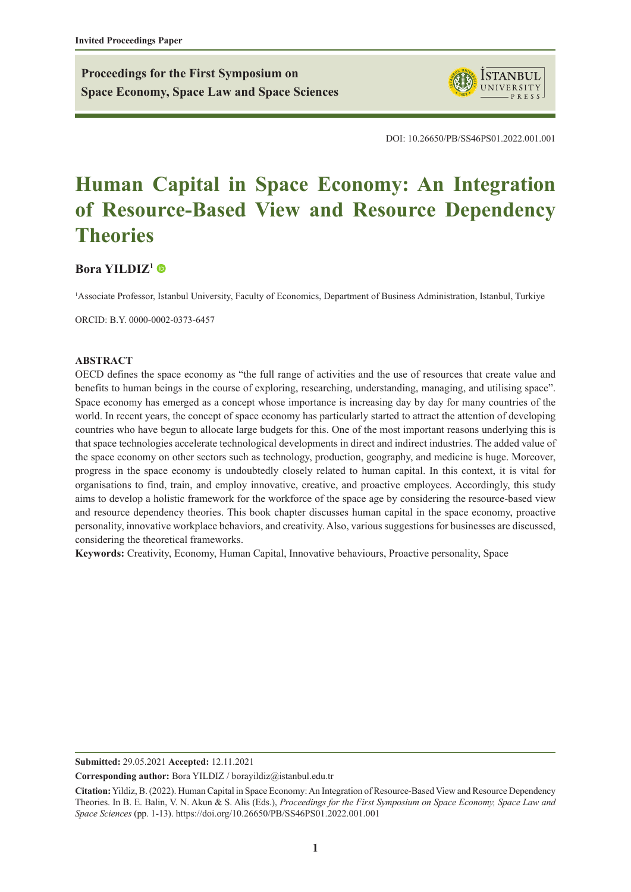**Proceedings for the First Symposium on Space Economy, Space Law and Space Sciences**



DOI: 10.26650/PB/SS46PS01.2022.001.001

# **Human Capital in Space Economy: An Integration of Resource-Based View and Resource Dependency Theories**

# **[Bora YILDIZ1](https://orcid.org/0000-0002-0373-6457)**

1 Associate Professor, Istanbul University, Faculty of Economics, Department of Business Administration, Istanbul, Turkiye

ORCID: B.Y. 0000-0002-0373-6457

#### **ABSTRACT**

OECD defines the space economy as "the full range of activities and the use of resources that create value and benefits to human beings in the course of exploring, researching, understanding, managing, and utilising space". Space economy has emerged as a concept whose importance is increasing day by day for many countries of the world. In recent years, the concept of space economy has particularly started to attract the attention of developing countries who have begun to allocate large budgets for this. One of the most important reasons underlying this is that space technologies accelerate technological developments in direct and indirect industries. The added value of the space economy on other sectors such as technology, production, geography, and medicine is huge. Moreover, progress in the space economy is undoubtedly closely related to human capital. In this context, it is vital for organisations to find, train, and employ innovative, creative, and proactive employees. Accordingly, this study aims to develop a holistic framework for the workforce of the space age by considering the resource-based view and resource dependency theories. This book chapter discusses human capital in the space economy, proactive personality, innovative workplace behaviors, and creativity. Also, various suggestions for businesses are discussed, considering the theoretical frameworks.

**Keywords:** Creativity, Economy, Human Capital, Innovative behaviours, Proactive personality, Space

**Submitted:** 29.05.2021 **Accepted:** 12.11.2021

**Corresponding author:** Bora YILDIZ / borayildiz@istanbul.edu.tr

**Citation:** Yildiz, B. (2022). Human Capital in Space Economy: An Integration of Resource-Based View and Resource Dependency Theories. In B. E. Balin, V. N. Akun & S. Alis (Eds.), *Proceedings for the First Symposium on Space Economy, Space Law and Space Sciences* (pp. 1-13). https://doi.org/10.26650/PB/SS46PS01.2022.001.001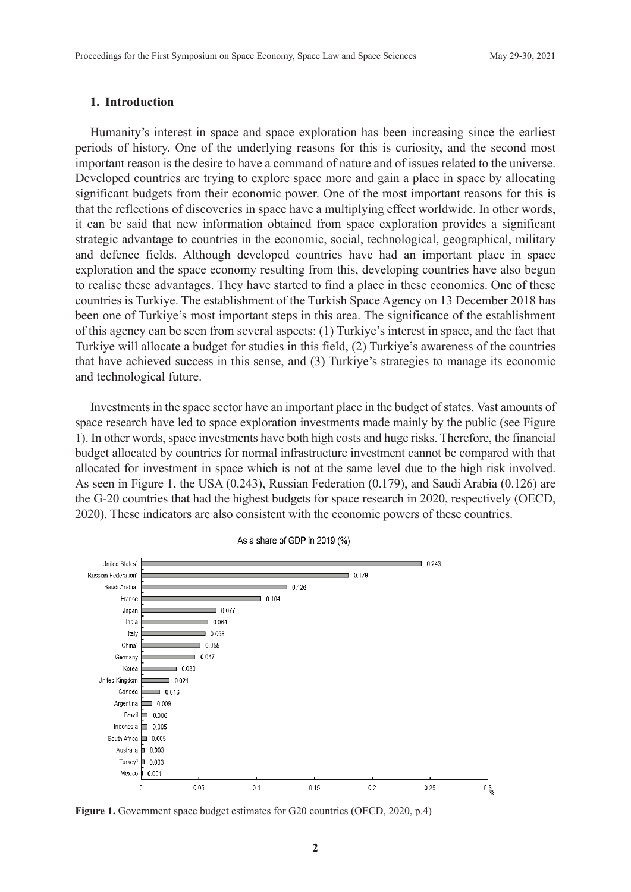# **1. Introduction**

Humanity's interest in space and space exploration has been increasing since the earliest periods of history. One of the underlying reasons for this is curiosity, and the second most important reason is the desire to have a command of nature and of issues related to the universe. Developed countries are trying to explore space more and gain a place in space by allocating significant budgets from their economic power. One of the most important reasons for this is that the reflections of discoveries in space have a multiplying effect worldwide. In other words, it can be said that new information obtained from space exploration provides a significant strategic advantage to countries in the economic, social, technological, geographical, military and defence fields. Although developed countries have had an important place in space exploration and the space economy resulting from this, developing countries have also begun to realise these advantages. They have started to find a place in these economies. One of these countries is Turkiye. The establishment of the Turkish Space Agency on 13 December 2018 has been one of Turkiye's most important steps in this area. The significance of the establishment of this agency can be seen from several aspects: (1) Turkiye's interest in space, and the fact that Turkiye will allocate a budget for studies in this field, (2) Turkiye's awareness of the countries that have achieved success in this sense, and (3) Turkiye's strategies to manage its economic and technological future.

Investments in the space sector have an important place in the budget of states. Vast amounts of space research have led to space exploration investments made mainly by the public (see Figure 1). In other words, space investments have both high costs and huge risks. Therefore, the financial budget allocated by countries for normal infrastructure investment cannot be compared with that allocated for investment in space which is not at the same level due to the high risk involved. As seen in Figure 1, the USA (0.243), Russian Federation (0.179), and Saudi Arabia (0.126) are the G-20 countries that had the highest budgets for space research in 2020, respectively (OECD, 2020). These indicators are also consistent with the economic powers of these countries.



As a share of GDP in 2019 (%)

Figure 1. Government space budget estimates for G20 countries (OECD, 2020, p.4)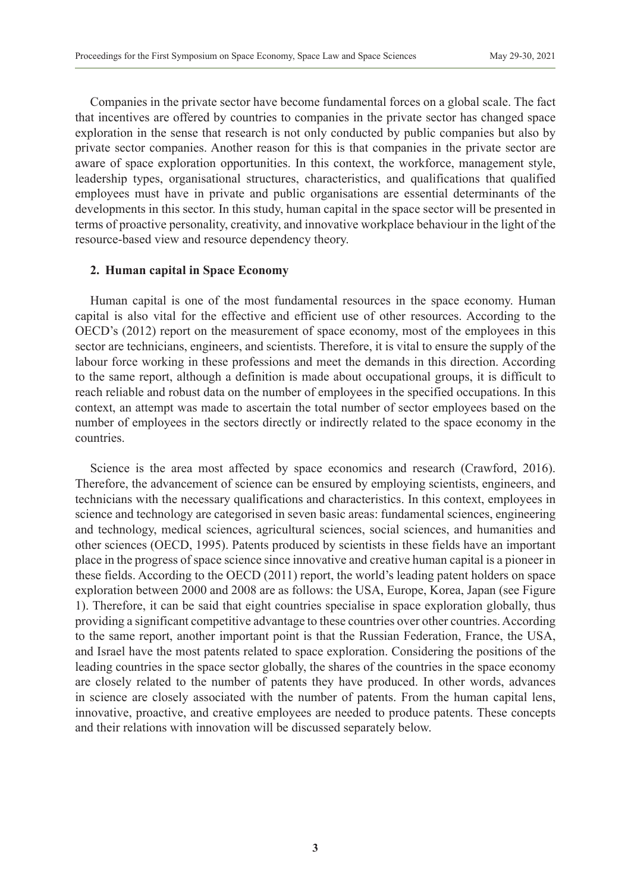Companies in the private sector have become fundamental forces on a global scale. The fact that incentives are offered by countries to companies in the private sector has changed space exploration in the sense that research is not only conducted by public companies but also by private sector companies. Another reason for this is that companies in the private sector are aware of space exploration opportunities. In this context, the workforce, management style, leadership types, organisational structures, characteristics, and qualifications that qualified employees must have in private and public organisations are essential determinants of the developments in this sector. In this study, human capital in the space sector will be presented in terms of proactive personality, creativity, and innovative workplace behaviour in the light of the resource-based view and resource dependency theory.

#### **2. Human capital in Space Economy**

Human capital is one of the most fundamental resources in the space economy. Human capital is also vital for the effective and efficient use of other resources. According to the OECD's (2012) report on the measurement of space economy, most of the employees in this sector are technicians, engineers, and scientists. Therefore, it is vital to ensure the supply of the labour force working in these professions and meet the demands in this direction. According to the same report, although a definition is made about occupational groups, it is difficult to reach reliable and robust data on the number of employees in the specified occupations. In this context, an attempt was made to ascertain the total number of sector employees based on the number of employees in the sectors directly or indirectly related to the space economy in the countries.

Science is the area most affected by space economics and research (Crawford, 2016). Therefore, the advancement of science can be ensured by employing scientists, engineers, and technicians with the necessary qualifications and characteristics. In this context, employees in science and technology are categorised in seven basic areas: fundamental sciences, engineering and technology, medical sciences, agricultural sciences, social sciences, and humanities and other sciences (OECD, 1995). Patents produced by scientists in these fields have an important place in the progress of space science since innovative and creative human capital is a pioneer in these fields. According to the OECD (2011) report, the world's leading patent holders on space exploration between 2000 and 2008 are as follows: the USA, Europe, Korea, Japan (see Figure 1). Therefore, it can be said that eight countries specialise in space exploration globally, thus providing a significant competitive advantage to these countries over other countries. According to the same report, another important point is that the Russian Federation, France, the USA, and Israel have the most patents related to space exploration. Considering the positions of the leading countries in the space sector globally, the shares of the countries in the space economy are closely related to the number of patents they have produced. In other words, advances in science are closely associated with the number of patents. From the human capital lens, innovative, proactive, and creative employees are needed to produce patents. These concepts and their relations with innovation will be discussed separately below.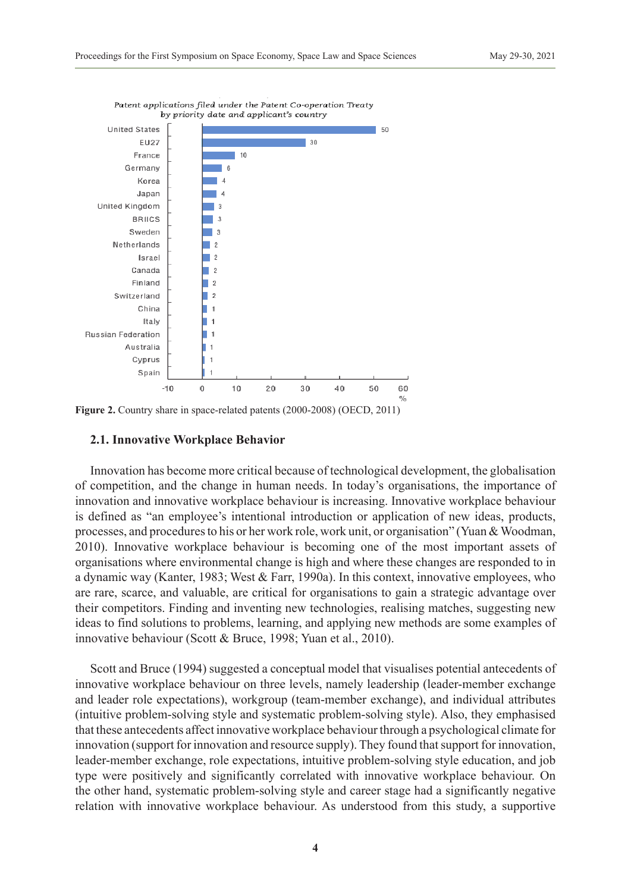

Patent applications filed under the Patent Co-operation Treaty

# **Figure 2.** Country share in space-related patents (2000-2008) (OECD, 2011)

#### **2.1. Innovative Workplace Behavior**

Innovation has become more critical because of technological development, the globalisation of competition, and the change in human needs. In today's organisations, the importance of innovation and innovative workplace behaviour is increasing. Innovative workplace behaviour is defined as "an employee's intentional introduction or application of new ideas, products, processes, and procedures to his or her work role, work unit, or organisation" (Yuan & Woodman, 2010). Innovative workplace behaviour is becoming one of the most important assets of organisations where environmental change is high and where these changes are responded to in a dynamic way (Kanter, 1983; West & Farr, 1990a). In this context, innovative employees, who are rare, scarce, and valuable, are critical for organisations to gain a strategic advantage over their competitors. Finding and inventing new technologies, realising matches, suggesting new ideas to find solutions to problems, learning, and applying new methods are some examples of innovative behaviour (Scott & Bruce, 1998; Yuan et al., 2010).

Scott and Bruce (1994) suggested a conceptual model that visualises potential antecedents of innovative workplace behaviour on three levels, namely leadership (leader-member exchange and leader role expectations), workgroup (team-member exchange), and individual attributes (intuitive problem-solving style and systematic problem-solving style). Also, they emphasised that these antecedents affect innovative workplace behaviour through a psychological climate for innovation (support for innovation and resource supply). They found that support for innovation, leader-member exchange, role expectations, intuitive problem-solving style education, and job type were positively and significantly correlated with innovative workplace behaviour. On the other hand, systematic problem-solving style and career stage had a significantly negative relation with innovative workplace behaviour. As understood from this study, a supportive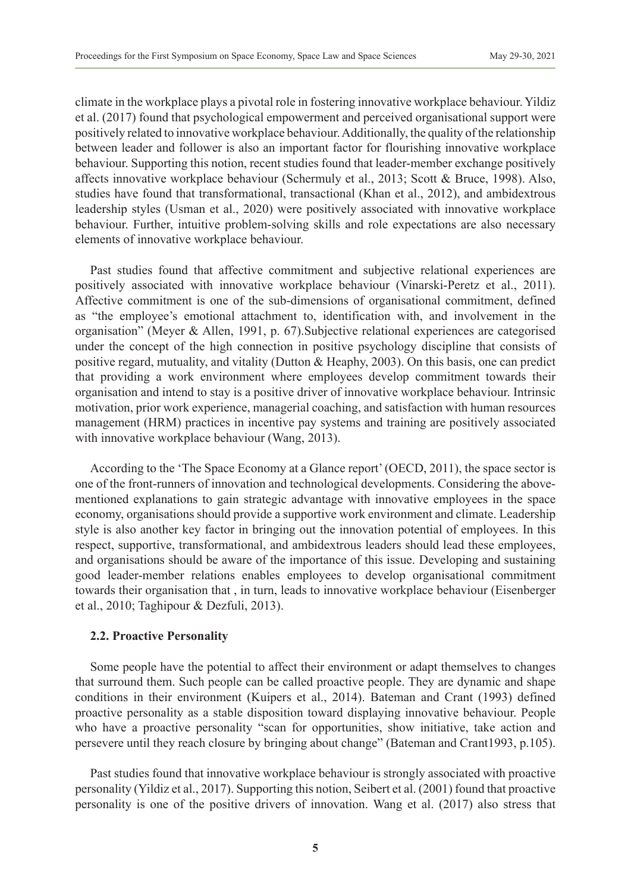climate in the workplace plays a pivotal role in fostering innovative workplace behaviour. Yildiz et al. (2017) found that psychological empowerment and perceived organisational support were positively related to innovative workplace behaviour. Additionally, the quality of the relationship between leader and follower is also an important factor for flourishing innovative workplace behaviour. Supporting this notion, recent studies found that leader-member exchange positively affects innovative workplace behaviour (Schermuly et al., 2013; Scott & Bruce, 1998). Also, studies have found that transformational, transactional (Khan et al., 2012), and ambidextrous leadership styles (Usman et al., 2020) were positively associated with innovative workplace behaviour. Further, intuitive problem-solving skills and role expectations are also necessary elements of innovative workplace behaviour.

Past studies found that affective commitment and subjective relational experiences are positively associated with innovative workplace behaviour (Vinarski-Peretz et al., 2011). Affective commitment is one of the sub-dimensions of organisational commitment, defined as "the employee's emotional attachment to, identification with, and involvement in the organisation" (Meyer & Allen, 1991, p. 67).Subjective relational experiences are categorised under the concept of the high connection in positive psychology discipline that consists of positive regard, mutuality, and vitality (Dutton & Heaphy, 2003). On this basis, one can predict that providing a work environment where employees develop commitment towards their organisation and intend to stay is a positive driver of innovative workplace behaviour. Intrinsic motivation, prior work experience, managerial coaching, and satisfaction with human resources management (HRM) practices in incentive pay systems and training are positively associated with innovative workplace behaviour (Wang, 2013).

According to the 'The Space Economy at a Glance report' (OECD, 2011), the space sector is one of the front-runners of innovation and technological developments. Considering the abovementioned explanations to gain strategic advantage with innovative employees in the space economy, organisations should provide a supportive work environment and climate. Leadership style is also another key factor in bringing out the innovation potential of employees. In this respect, supportive, transformational, and ambidextrous leaders should lead these employees, and organisations should be aware of the importance of this issue. Developing and sustaining good leader-member relations enables employees to develop organisational commitment towards their organisation that , in turn, leads to innovative workplace behaviour (Eisenberger et al., 2010; Taghipour & Dezfuli, 2013).

#### **2.2. Proactive Personality**

Some people have the potential to affect their environment or adapt themselves to changes that surround them. Such people can be called proactive people. They are dynamic and shape conditions in their environment (Kuipers et al., 2014). Bateman and Crant (1993) defined proactive personality as a stable disposition toward displaying innovative behaviour. People who have a proactive personality "scan for opportunities, show initiative, take action and persevere until they reach closure by bringing about change" (Bateman and Crant1993, p.105).

Past studies found that innovative workplace behaviour is strongly associated with proactive personality (Yildiz et al., 2017). Supporting this notion, Seibert et al. (2001) found that proactive personality is one of the positive drivers of innovation. Wang et al. (2017) also stress that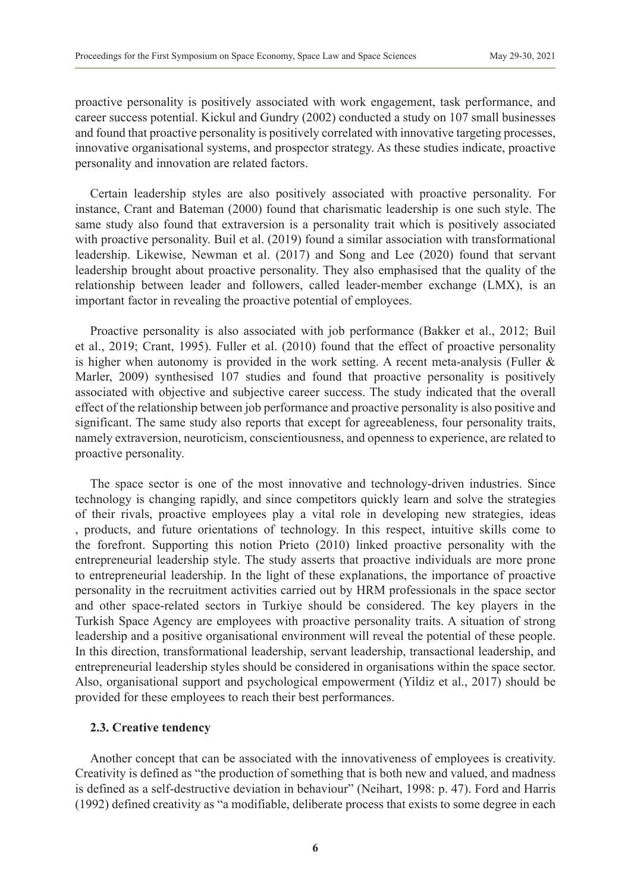proactive personality is positively associated with work engagement, task performance, and career success potential. Kickul and Gundry (2002) conducted a study on 107 small businesses and found that proactive personality is positively correlated with innovative targeting processes, innovative organisational systems, and prospector strategy. As these studies indicate, proactive personality and innovation are related factors.

Certain leadership styles are also positively associated with proactive personality. For instance, Crant and Bateman (2000) found that charismatic leadership is one such style. The same study also found that extraversion is a personality trait which is positively associated with proactive personality. Buil et al. (2019) found a similar association with transformational leadership. Likewise, Newman et al. (2017) and Song and Lee (2020) found that servant leadership brought about proactive personality. They also emphasised that the quality of the relationship between leader and followers, called leader-member exchange (LMX), is an important factor in revealing the proactive potential of employees.

Proactive personality is also associated with job performance (Bakker et al., 2012; Buil et al., 2019; Crant, 1995). Fuller et al. (2010) found that the effect of proactive personality is higher when autonomy is provided in the work setting. A recent meta-analysis (Fuller  $\&$ Marler, 2009) synthesised 107 studies and found that proactive personality is positively associated with objective and subjective career success. The study indicated that the overall effect of the relationship between job performance and proactive personality is also positive and significant. The same study also reports that except for agreeableness, four personality traits, namely extraversion, neuroticism, conscientiousness, and openness to experience, are related to proactive personality.

The space sector is one of the most innovative and technology-driven industries. Since technology is changing rapidly, and since competitors quickly learn and solve the strategies of their rivals, proactive employees play a vital role in developing new strategies, ideas , products, and future orientations of technology. In this respect, intuitive skills come to the forefront. Supporting this notion Prieto (2010) linked proactive personality with the entrepreneurial leadership style. The study asserts that proactive individuals are more prone to entrepreneurial leadership. In the light of these explanations, the importance of proactive personality in the recruitment activities carried out by HRM professionals in the space sector and other space-related sectors in Turkiye should be considered. The key players in the Turkish Space Agency are employees with proactive personality traits. A situation of strong leadership and a positive organisational environment will reveal the potential of these people. In this direction, transformational leadership, servant leadership, transactional leadership, and entrepreneurial leadership styles should be considered in organisations within the space sector. Also, organisational support and psychological empowerment (Yildiz et al., 2017) should be provided for these employees to reach their best performances.

## **2.3. Creative tendency**

Another concept that can be associated with the innovativeness of employees is creativity. Creativity is defined as "the production of something that is both new and valued, and madness is defined as a self-destructive deviation in behaviour" (Neihart, 1998: p. 47). Ford and Harris (1992) defined creativity as "a modifiable, deliberate process that exists to some degree in each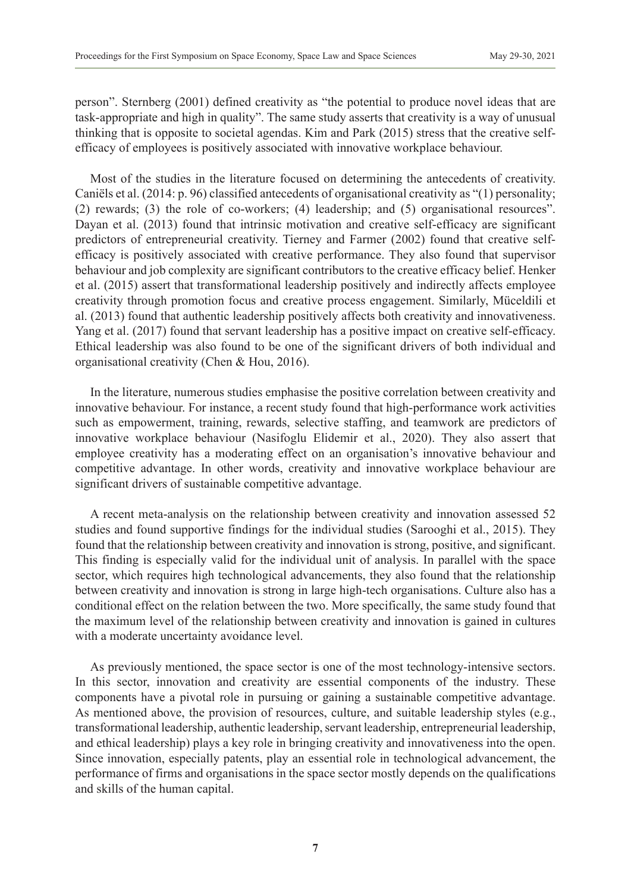person". Sternberg (2001) defined creativity as "the potential to produce novel ideas that are task-appropriate and high in quality". The same study asserts that creativity is a way of unusual thinking that is opposite to societal agendas. Kim and Park (2015) stress that the creative selfefficacy of employees is positively associated with innovative workplace behaviour.

Most of the studies in the literature focused on determining the antecedents of creativity. Caniëls et al. (2014: p. 96) classified antecedents of organisational creativity as "(1) personality; (2) rewards; (3) the role of co-workers; (4) leadership; and (5) organisational resources". Dayan et al. (2013) found that intrinsic motivation and creative self-efficacy are significant predictors of entrepreneurial creativity. Tierney and Farmer (2002) found that creative selfefficacy is positively associated with creative performance. They also found that supervisor behaviour and job complexity are significant contributors to the creative efficacy belief. Henker et al. (2015) assert that transformational leadership positively and indirectly affects employee creativity through promotion focus and creative process engagement. Similarly, Müceldili et al. (2013) found that authentic leadership positively affects both creativity and innovativeness. Yang et al. (2017) found that servant leadership has a positive impact on creative self-efficacy. Ethical leadership was also found to be one of the significant drivers of both individual and organisational creativity (Chen & Hou, 2016).

In the literature, numerous studies emphasise the positive correlation between creativity and innovative behaviour. For instance, a recent study found that high-performance work activities such as empowerment, training, rewards, selective staffing, and teamwork are predictors of innovative workplace behaviour (Nasifoglu Elidemir et al., 2020). They also assert that employee creativity has a moderating effect on an organisation's innovative behaviour and competitive advantage. In other words, creativity and innovative workplace behaviour are significant drivers of sustainable competitive advantage.

A recent meta-analysis on the relationship between creativity and innovation assessed 52 studies and found supportive findings for the individual studies (Sarooghi et al., 2015). They found that the relationship between creativity and innovation is strong, positive, and significant. This finding is especially valid for the individual unit of analysis. In parallel with the space sector, which requires high technological advancements, they also found that the relationship between creativity and innovation is strong in large high-tech organisations. Culture also has a conditional effect on the relation between the two. More specifically, the same study found that the maximum level of the relationship between creativity and innovation is gained in cultures with a moderate uncertainty avoidance level.

As previously mentioned, the space sector is one of the most technology-intensive sectors. In this sector, innovation and creativity are essential components of the industry. These components have a pivotal role in pursuing or gaining a sustainable competitive advantage. As mentioned above, the provision of resources, culture, and suitable leadership styles (e.g., transformational leadership, authentic leadership, servant leadership, entrepreneurial leadership, and ethical leadership) plays a key role in bringing creativity and innovativeness into the open. Since innovation, especially patents, play an essential role in technological advancement, the performance of firms and organisations in the space sector mostly depends on the qualifications and skills of the human capital.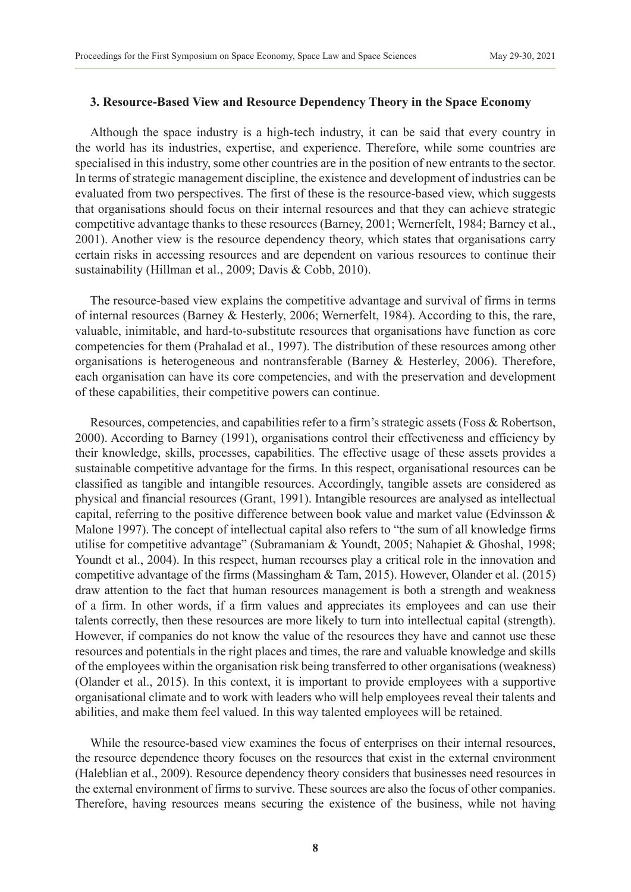# **3. Resource-Based View and Resource Dependency Theory in the Space Economy**

Although the space industry is a high-tech industry, it can be said that every country in the world has its industries, expertise, and experience. Therefore, while some countries are specialised in this industry, some other countries are in the position of new entrants to the sector. In terms of strategic management discipline, the existence and development of industries can be evaluated from two perspectives. The first of these is the resource-based view, which suggests that organisations should focus on their internal resources and that they can achieve strategic competitive advantage thanks to these resources (Barney, 2001; Wernerfelt, 1984; Barney et al., 2001). Another view is the resource dependency theory, which states that organisations carry certain risks in accessing resources and are dependent on various resources to continue their sustainability (Hillman et al., 2009; Davis & Cobb, 2010).

The resource-based view explains the competitive advantage and survival of firms in terms of internal resources (Barney & Hesterly, 2006; Wernerfelt, 1984). According to this, the rare, valuable, inimitable, and hard-to-substitute resources that organisations have function as core competencies for them (Prahalad et al., 1997). The distribution of these resources among other organisations is heterogeneous and nontransferable (Barney & Hesterley, 2006). Therefore, each organisation can have its core competencies, and with the preservation and development of these capabilities, their competitive powers can continue.

Resources, competencies, and capabilities refer to a firm's strategic assets (Foss & Robertson, 2000). According to Barney (1991), organisations control their effectiveness and efficiency by their knowledge, skills, processes, capabilities. The effective usage of these assets provides a sustainable competitive advantage for the firms. In this respect, organisational resources can be classified as tangible and intangible resources. Accordingly, tangible assets are considered as physical and financial resources (Grant, 1991). Intangible resources are analysed as intellectual capital, referring to the positive difference between book value and market value (Edvinsson  $\&$ Malone 1997). The concept of intellectual capital also refers to "the sum of all knowledge firms utilise for competitive advantage" (Subramaniam & Youndt, 2005; Nahapiet & Ghoshal, 1998; Youndt et al., 2004). In this respect, human recourses play a critical role in the innovation and competitive advantage of the firms (Massingham & Tam, 2015). However, Olander et al. (2015) draw attention to the fact that human resources management is both a strength and weakness of a firm. In other words, if a firm values and appreciates its employees and can use their talents correctly, then these resources are more likely to turn into intellectual capital (strength). However, if companies do not know the value of the resources they have and cannot use these resources and potentials in the right places and times, the rare and valuable knowledge and skills of the employees within the organisation risk being transferred to other organisations (weakness) (Olander et al., 2015). In this context, it is important to provide employees with a supportive organisational climate and to work with leaders who will help employees reveal their talents and abilities, and make them feel valued. In this way talented employees will be retained.

While the resource-based view examines the focus of enterprises on their internal resources, the resource dependence theory focuses on the resources that exist in the external environment (Haleblian et al., 2009). Resource dependency theory considers that businesses need resources in the external environment of firms to survive. These sources are also the focus of other companies. Therefore, having resources means securing the existence of the business, while not having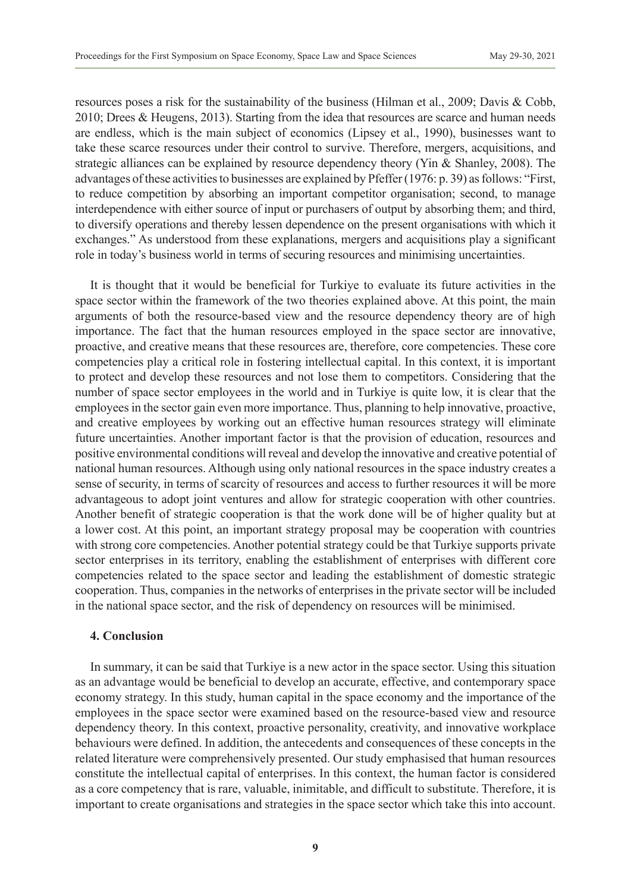resources poses a risk for the sustainability of the business (Hilman et al., 2009; Davis & Cobb, 2010; Drees & Heugens, 2013). Starting from the idea that resources are scarce and human needs are endless, which is the main subject of economics (Lipsey et al., 1990), businesses want to take these scarce resources under their control to survive. Therefore, mergers, acquisitions, and strategic alliances can be explained by resource dependency theory (Yin & Shanley, 2008). The advantages of these activities to businesses are explained by Pfeffer (1976: p. 39) as follows: "First, to reduce competition by absorbing an important competitor organisation; second, to manage interdependence with either source of input or purchasers of output by absorbing them; and third, to diversify operations and thereby lessen dependence on the present organisations with which it exchanges." As understood from these explanations, mergers and acquisitions play a significant role in today's business world in terms of securing resources and minimising uncertainties.

It is thought that it would be beneficial for Turkiye to evaluate its future activities in the space sector within the framework of the two theories explained above. At this point, the main arguments of both the resource-based view and the resource dependency theory are of high importance. The fact that the human resources employed in the space sector are innovative, proactive, and creative means that these resources are, therefore, core competencies. These core competencies play a critical role in fostering intellectual capital. In this context, it is important to protect and develop these resources and not lose them to competitors. Considering that the number of space sector employees in the world and in Turkiye is quite low, it is clear that the employees in the sector gain even more importance. Thus, planning to help innovative, proactive, and creative employees by working out an effective human resources strategy will eliminate future uncertainties. Another important factor is that the provision of education, resources and positive environmental conditions will reveal and develop the innovative and creative potential of national human resources. Although using only national resources in the space industry creates a sense of security, in terms of scarcity of resources and access to further resources it will be more advantageous to adopt joint ventures and allow for strategic cooperation with other countries. Another benefit of strategic cooperation is that the work done will be of higher quality but at a lower cost. At this point, an important strategy proposal may be cooperation with countries with strong core competencies. Another potential strategy could be that Turkiye supports private sector enterprises in its territory, enabling the establishment of enterprises with different core competencies related to the space sector and leading the establishment of domestic strategic cooperation. Thus, companies in the networks of enterprises in the private sector will be included in the national space sector, and the risk of dependency on resources will be minimised.

#### **4. Conclusion**

In summary, it can be said that Turkiye is a new actor in the space sector. Using this situation as an advantage would be beneficial to develop an accurate, effective, and contemporary space economy strategy. In this study, human capital in the space economy and the importance of the employees in the space sector were examined based on the resource-based view and resource dependency theory. In this context, proactive personality, creativity, and innovative workplace behaviours were defined. In addition, the antecedents and consequences of these concepts in the related literature were comprehensively presented. Our study emphasised that human resources constitute the intellectual capital of enterprises. In this context, the human factor is considered as a core competency that is rare, valuable, inimitable, and difficult to substitute. Therefore, it is important to create organisations and strategies in the space sector which take this into account.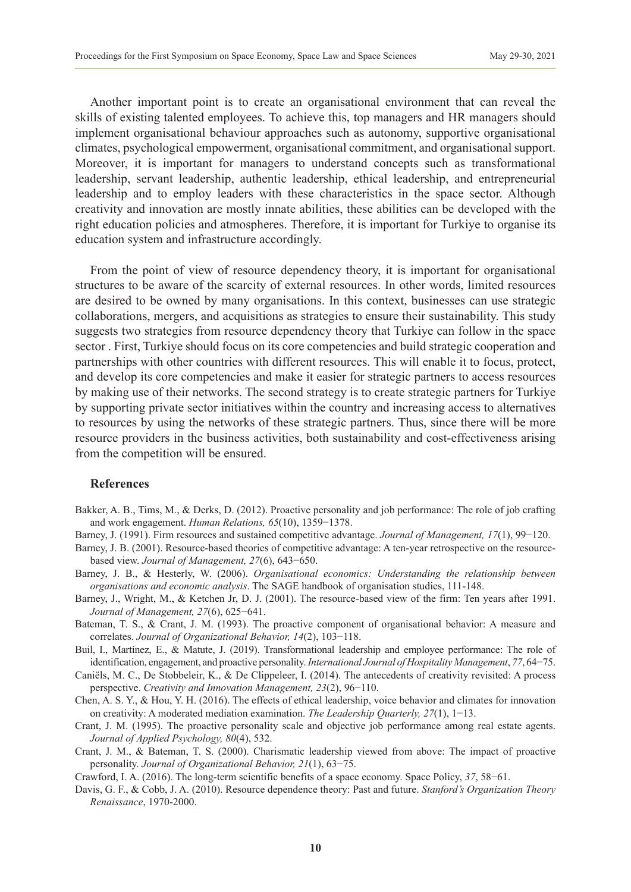Another important point is to create an organisational environment that can reveal the skills of existing talented employees. To achieve this, top managers and HR managers should implement organisational behaviour approaches such as autonomy, supportive organisational climates, psychological empowerment, organisational commitment, and organisational support. Moreover, it is important for managers to understand concepts such as transformational leadership, servant leadership, authentic leadership, ethical leadership, and entrepreneurial leadership and to employ leaders with these characteristics in the space sector. Although creativity and innovation are mostly innate abilities, these abilities can be developed with the right education policies and atmospheres. Therefore, it is important for Turkiye to organise its education system and infrastructure accordingly.

From the point of view of resource dependency theory, it is important for organisational structures to be aware of the scarcity of external resources. In other words, limited resources are desired to be owned by many organisations. In this context, businesses can use strategic collaborations, mergers, and acquisitions as strategies to ensure their sustainability. This study suggests two strategies from resource dependency theory that Turkiye can follow in the space sector . First, Turkiye should focus on its core competencies and build strategic cooperation and partnerships with other countries with different resources. This will enable it to focus, protect, and develop its core competencies and make it easier for strategic partners to access resources by making use of their networks. The second strategy is to create strategic partners for Turkiye by supporting private sector initiatives within the country and increasing access to alternatives to resources by using the networks of these strategic partners. Thus, since there will be more resource providers in the business activities, both sustainability and cost-effectiveness arising from the competition will be ensured.

#### **References**

- Bakker, A. B., Tims, M., & Derks, D. (2012). Proactive personality and job performance: The role of job crafting and work engagement. *Human Relations, 65*(10), 1359−1378.
- Barney, J. (1991). Firm resources and sustained competitive advantage. *Journal of Management, 17*(1), 99−120.
- Barney, J. B. (2001). Resource-based theories of competitive advantage: A ten-year retrospective on the resourcebased view. *Journal of Management, 27*(6), 643−650.
- Barney, J. B., & Hesterly, W. (2006). *Organisational economics: Understanding the relationship between organisations and economic analysis*. The SAGE handbook of organisation studies, 111-148.
- Barney, J., Wright, M., & Ketchen Jr, D. J. (2001). The resource-based view of the firm: Ten years after 1991. *Journal of Management, 27*(6), 625−641.
- Bateman, T. S., & Crant, J. M. (1993). The proactive component of organisational behavior: A measure and correlates. *Journal of Organizational Behavior, 14*(2), 103−118.
- Buil, I., Martínez, E., & Matute, J. (2019). Transformational leadership and employee performance: The role of identification, engagement, and proactive personality. *International Journal of Hospitality Management*, *77*, 64−75.
- Caniëls, M. C., De Stobbeleir, K., & De Clippeleer, I. (2014). The antecedents of creativity revisited: A process perspective. *Creativity and Innovation Management, 23*(2), 96−110.
- Chen, A. S. Y., & Hou, Y. H. (2016). The effects of ethical leadership, voice behavior and climates for innovation on creativity: A moderated mediation examination. *The Leadership Quarterly, 27*(1), 1−13.
- Crant, J. M. (1995). The proactive personality scale and objective job performance among real estate agents. *Journal of Applied Psychology, 80*(4), 532.
- Crant, J. M., & Bateman, T. S. (2000). Charismatic leadership viewed from above: The impact of proactive personality. *Journal of Organizational Behavior, 21*(1), 63−75.
- Crawford, I. A. (2016). The long-term scientific benefits of a space economy. Space Policy, *37*, 58−61.
- Davis, G. F., & Cobb, J. A. (2010). Resource dependence theory: Past and future. *Stanford's Organization Theory Renaissance*, 1970-2000.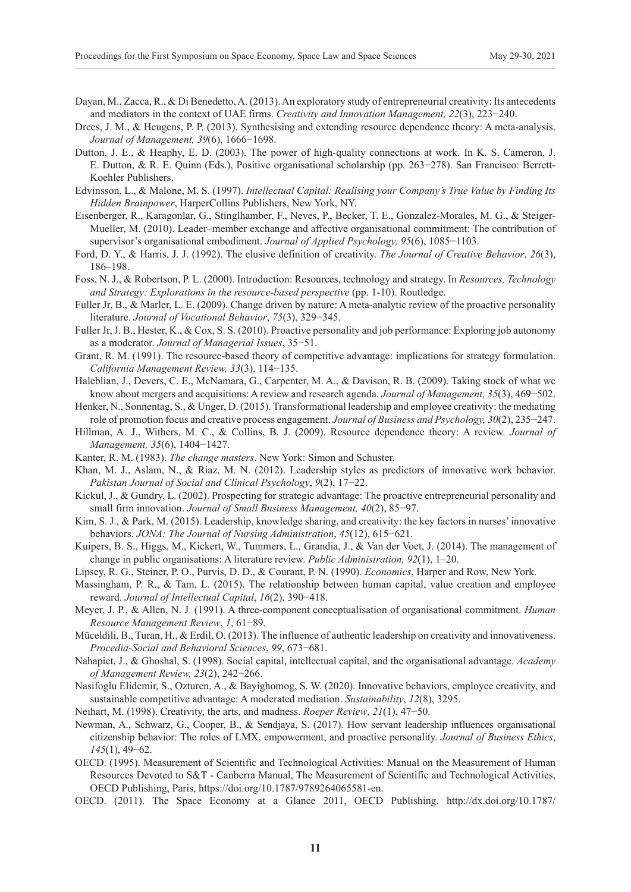- Dayan, M., Zacca, R., & Di Benedetto, A. (2013). An exploratory study of entrepreneurial creativity: Its antecedents and mediators in the context of UAE firms. *Creativity and Innovation Management, 22*(3), 223−240.
- Drees, J. M., & Heugens, P. P. (2013). Synthesising and extending resource dependence theory: A meta-analysis. *Journal of Management, 39*(6), 1666−1698.
- Dutton, J. E., & Heaphy, E. D. (2003). The power of high-quality connections at work. In K. S. Cameron, J. E. Dutton, & R. E. Quinn (Eds.), Positive organisational scholarship (pp. 263−278). San Francisco: Berrett-Koehler Publishers.
- Edvinsson, L., & Malone, M. S. (1997). *Intellectual Capital: Realising your Company's True Value by Finding Its Hidden Brainpower*, HarperCollins Publishers, New York, NY.
- Eisenberger, R., Karagonlar, G., Stinglhamber, F., Neves, P., Becker, T. E., Gonzalez-Morales, M. G., & Steiger-Mueller, M. (2010). Leader–member exchange and affective organisational commitment: The contribution of supervisor's organisational embodiment. *Journal of Applied Psychology, 95*(6), 1085−1103.
- Ford, D. Y., & Harris, J. J. (1992). The elusive definition of creativity. *The Journal of Creative Behavior*, *26*(3), 186–198.
- Foss, N. J., & Robertson, P. L. (2000). Introduction: Resources, technology and strategy. In *Resources, Technology and Strategy: Explorations in the resource-based perspective* (pp. 1-10). Routledge.
- Fuller Jr, B., & Marler, L. E. (2009). Change driven by nature: A meta-analytic review of the proactive personality literature. *Journal of Vocational Behavior*, *75*(3), 329−345.
- Fuller Jr, J. B., Hester, K., & Cox, S. S. (2010). Proactive personality and job performance: Exploring job autonomy as a moderator. *Journal of Managerial Issues*, 35−51.
- Grant, R. M. (1991). The resource-based theory of competitive advantage: implications for strategy formulation. *California Management Review, 33*(3), 114−135.
- Haleblian, J., Devers, C. E., McNamara, G., Carpenter, M. A., & Davison, R. B. (2009). Taking stock of what we know about mergers and acquisitions: A review and research agenda. *Journal of Management, 35*(3), 469−502.
- Henker, N., Sonnentag, S., & Unger, D. (2015). Transformational leadership and employee creativity: the mediating role of promotion focus and creative process engagement. *Journal of Business and Psychology, 30*(2), 235−247.
- Hillman, A. J., Withers, M. C., & Collins, B. J. (2009). Resource dependence theory: A review. *Journal of Management, 35*(6), 1404−1427.
- Kanter, R. M. (1983). *The change masters*. New York: Simon and Schuster.
- Khan, M. J., Aslam, N., & Riaz, M. N. (2012). Leadership styles as predictors of innovative work behavior. *Pakistan Journal of Social and Clinical Psychology*, *9*(2), 17−22.
- Kickul, J., & Gundry, L. (2002). Prospecting for strategic advantage: The proactive entrepreneurial personality and small firm innovation. *Journal of Small Business Management, 40*(2), 85−97.
- Kim, S. J., & Park, M. (2015). Leadership, knowledge sharing, and creativity: the key factors in nurses' innovative behaviors. *JONA: The Journal of Nursing Administration*, *45*(12), 615−621.
- Kuipers, B. S., Higgs, M., Kickert, W., Tummers, L., Grandia, J., & Van der Voet, J. (2014). The management of change in public organisations: A literature review. *Public Administration, 92*(1), 1–20.
- Lipsey, R. G., Steiner, P. O., Purvis, D. D., & Courant, P. N. (1990). *Economics*, Harper and Row, New York.
- Massingham, P. R., & Tam, L. (2015). The relationship between human capital, value creation and employee reward. *Journal of Intellectual Capital*, *16*(2), 390−418.
- Meyer, J. P., & Allen, N. J. (1991). A three-component conceptualisation of organisational commitment. *Human Resource Management Review*, *1*, 61−89.
- Müceldili, B., Turan, H., & Erdil, O. (2013). The influence of authentic leadership on creativity and innovativeness. *Procedia-Social and Behavioral Sciences*, *99*, 673−681.
- Nahapiet, J., & Ghoshal, S. (1998). Social capital, intellectual capital, and the organisational advantage. *Academy of Management Review, 23*(2), 242−266.
- Nasifoglu Elidemir, S., Ozturen, A., & Bayighomog, S. W. (2020). Innovative behaviors, employee creativity, and sustainable competitive advantage: A moderated mediation. *Sustainability*, *12*(8), 3295.
- Neihart, M. (1998). Creativity, the arts, and madness. *Roeper Review*, *21*(1), 47−50.
- Newman, A., Schwarz, G., Cooper, B., & Sendjaya, S. (2017). How servant leadership influences organisational citizenship behavior: The roles of LMX, empowerment, and proactive personality. *Journal of Business Ethics*, *145*(1), 49−62.
- OECD. (1995). Measurement of Scientific and Technological Activities: Manual on the Measurement of Human Resources Devoted to S&T - Canberra Manual, The Measurement of Scientific and Technological Activities, OECD Publishing, Paris, [https://doi.org/10.1787/9789264065581-en.](https://doi.org/10.1787/9789264065581-en)
- OECD. (2011). The Space Economy at a Glance 2011, OECD Publishing. http://dx.doi.org/10.1787/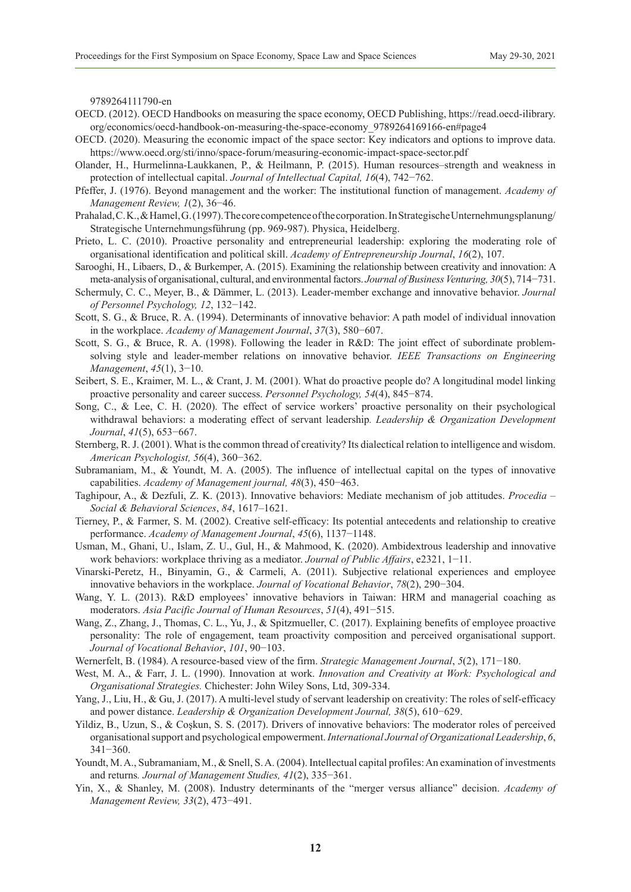9789264111790-en

- OECD. (2012). OECD Handbooks on measuring the space economy, OECD Publishing, https://read.oecd-ilibrary. org/economics/oecd-handbook-on-measuring-the-space-economy\_9789264169166-en#page4
- OECD. (2020). Measuring the economic impact of the space sector: Key indicators and options to improve data. <https://www.oecd.org/sti/inno/space-forum/measuring-economic-impact-space-sector.pdf>
- Olander, H., Hurmelinna-Laukkanen, P., & Heilmann, P. (2015). Human resources–strength and weakness in protection of intellectual capital. *Journal of Intellectual Capital, 16*(4), 742−762.
- Pfeffer, J. (1976). Beyond management and the worker: The institutional function of management. *Academy of Management Review, 1*(2), 36−46.
- Prahalad, C. K., & Hamel, G. (1997). The core competence of the corporation. In Strategische Unternehmungsplanung/ Strategische Unternehmungsführung (pp. 969-987). Physica, Heidelberg.
- Prieto, L. C. (2010). Proactive personality and entrepreneurial leadership: exploring the moderating role of organisational identification and political skill. *Academy of Entrepreneurship Journal*, *16*(2), 107.
- Sarooghi, H., Libaers, D., & Burkemper, A. (2015). Examining the relationship between creativity and innovation: A meta-analysis of organisational, cultural, and environmental factors. *Journal of Business Venturing, 30*(5), 714−731.
- Schermuly, C. C., Meyer, B., & Dämmer, L. (2013). Leader-member exchange and innovative behavior. *Journal of Personnel Psychology, 12*, 132−142.
- Scott, S. G., & Bruce, R. A. (1994). Determinants of innovative behavior: A path model of individual innovation in the workplace. *Academy of Management Journal*, *37*(3), 580−607.
- Scott, S. G., & Bruce, R. A. (1998). Following the leader in R&D: The joint effect of subordinate problemsolving style and leader-member relations on innovative behavior. *IEEE Transactions on Engineering Management*, *45*(1), 3−10.
- Seibert, S. E., Kraimer, M. L., & Crant, J. M. (2001). What do proactive people do? A longitudinal model linking proactive personality and career success. *Personnel Psychology, 54*(4), 845−874.
- Song, C., & Lee, C. H. (2020). The effect of service workers' proactive personality on their psychological withdrawal behaviors: a moderating effect of servant leadership*. Leadership & Organization Development Journal*, *41*(5), 653−667.
- Sternberg, R. J. (2001). What is the common thread of creativity? Its dialectical relation to intelligence and wisdom. *American Psychologist, 56*(4), 360−362.
- Subramaniam, M., & Youndt, M. A. (2005). The influence of intellectual capital on the types of innovative capabilities. *Academy of Management journal, 48*(3), 450−463.
- Taghipour, A., & Dezfuli, Z. K. (2013). Innovative behaviors: Mediate mechanism of job attitudes. *Procedia Social & Behavioral Sciences*, *84*, 1617–1621.
- Tierney, P., & Farmer, S. M. (2002). Creative self-efficacy: Its potential antecedents and relationship to creative performance. *Academy of Management Journal*, *45*(6), 1137−1148.
- Usman, M., Ghani, U., Islam, Z. U., Gul, H., & Mahmood, K. (2020). Ambidextrous leadership and innovative work behaviors: workplace thriving as a mediator. *Journal of Public Affairs*, e2321, 1−11.
- Vinarski-Peretz, H., Binyamin, G., & Carmeli, A. (2011). Subjective relational experiences and employee innovative behaviors in the workplace. *Journal of Vocational Behavior*, *78*(2), 290−304.
- Wang, Y. L. (2013). R&D employees' innovative behaviors in Taiwan: HRM and managerial coaching as moderators. *Asia Pacific Journal of Human Resources*, *51*(4), 491−515.
- Wang, Z., Zhang, J., Thomas, C. L., Yu, J., & Spitzmueller, C. (2017). Explaining benefits of employee proactive personality: The role of engagement, team proactivity composition and perceived organisational support. *Journal of Vocational Behavior*, *101*, 90−103.
- Wernerfelt, B. (1984). A resource-based view of the firm. *Strategic Management Journal*, *5*(2), 171−180.
- West, M. A., & Farr, J. L. (1990). Innovation at work. *Innovation and Creativity at Work: Psychological and Organisational Strategies.* Chichester: John Wiley Sons, Ltd, 309-334.
- Yang, J., Liu, H., & Gu, J. (2017). A multi-level study of servant leadership on creativity: The roles of self-efficacy and power distance. *Leadership & Organization Development Journal, 38*(5), 610−629.
- Yildiz, B., Uzun, S., & Coşkun, S. S. (2017). Drivers of innovative behaviors: The moderator roles of perceived organisational support and psychological empowerment.*International Journal of Organizational Leadership*, *6*, 341−360.
- Youndt, M. A., Subramaniam, M., & Snell, S. A. (2004). Intellectual capital profiles: An examination of investments and returns*. Journal of Management Studies, 41*(2), 335−361.
- Yin, X., & Shanley, M. (2008). Industry determinants of the "merger versus alliance" decision. *Academy of Management Review, 33*(2), 473−491.